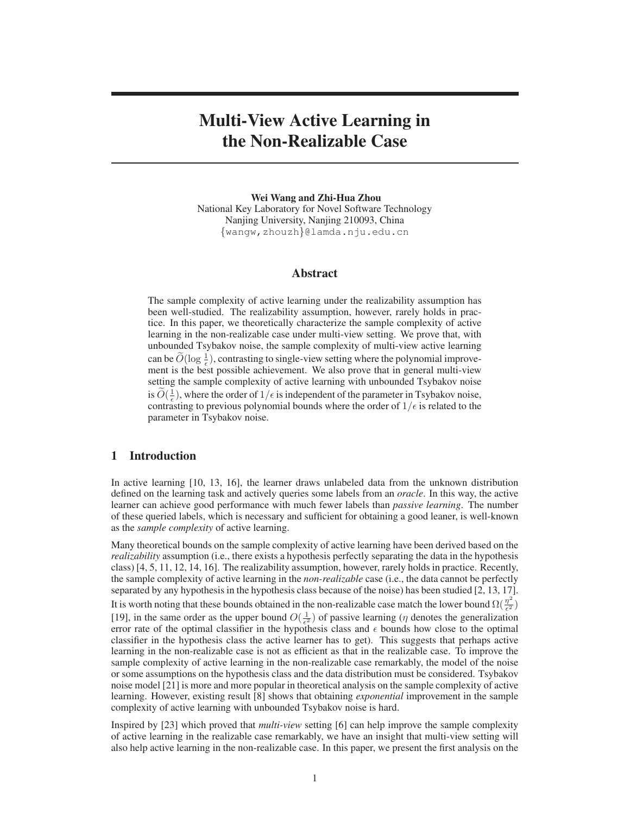# **Multi-View Active Learning in the Non-Realizable Case**

**Wei Wang and Zhi-Hua Zhou** National Key Laboratory for Novel Software Technology Nanjing University, Nanjing 210093, China {wangw,zhouzh}@lamda.nju.edu.cn

### **Abstract**

The sample complexity of active learning under the realizability assumption has been well-studied. The realizability assumption, however, rarely holds in practice. In this paper, we theoretically characterize the sample complexity of active learning in the non-realizable case under multi-view setting. We prove that, with unbounded Tsybakov noise, the sample complexity of multi-view active learning can be  $\widetilde{O}(\log \frac{1}{\epsilon})$ , contrasting to single-view setting where the polynomial improvement is the best possible achievement. We also prove that in general multi-view setting the sample complexity of active learning with unbounded Tsybakov noise is  $\widetilde{O}(\frac{1}{\epsilon})$ , where the order of  $1/\epsilon$  is independent of the parameter in Tsybakov noise, contrasting to previous polynomial bounds where the order of  $1/\epsilon$  is related to the parameter in Tsybakov noise.

### **1 Introduction**

In active learning [10, 13, 16], the learner draws unlabeled data from the unknown distribution defined on the learning task and actively queries some labels from an *oracle*. In this way, the active learner can achieve good performance with much fewer labels than *passive learning*. The number of these queried labels, which is necessary and sufficient for obtaining a good leaner, is well-known as the *sample complexity* of active learning.

Many theoretical bounds on the sample complexity of active learning have been derived based on the *realizability* assumption (i.e., there exists a hypothesis perfectly separating the data in the hypothesis class) [4, 5, 11, 12, 14, 16]. The realizability assumption, however, rarely holds in practice. Recently, the sample complexity of active learning in the *non-realizable* case (i.e., the data cannot be perfectly separated by any hypothesis in the hypothesis class because of the noise) has been studied [2, 13, 17]. It is worth noting that these bounds obtained in the non-realizable case match the lower bound  $\Omega(\frac{\eta^2}{\epsilon^2})$  $\frac{\eta^-}{\epsilon^2})$ [19], in the same order as the upper bound  $O(\frac{1}{\epsilon^2})$  of passive learning ( $\eta$  denotes the generalization error rate of the optimal classifier in the hypothesis class and  $\epsilon$  bounds how close to the optimal classifier in the hypothesis class the active learner has to get). This suggests that perhaps active learning in the non-realizable case is not as efficient as that in the realizable case. To improve the sample complexity of active learning in the non-realizable case remarkably, the model of the noise or some assumptions on the hypothesis class and the data distribution must be considered. Tsybakov noise model [21] is more and more popular in theoretical analysis on the sample complexity of active learning. However, existing result [8] shows that obtaining *exponential* improvement in the sample complexity of active learning with unbounded Tsybakov noise is hard.

Inspired by [23] which proved that *multi-view* setting [6] can help improve the sample complexity of active learning in the realizable case remarkably, we have an insight that multi-view setting will also help active learning in the non-realizable case. In this paper, we present the first analysis on the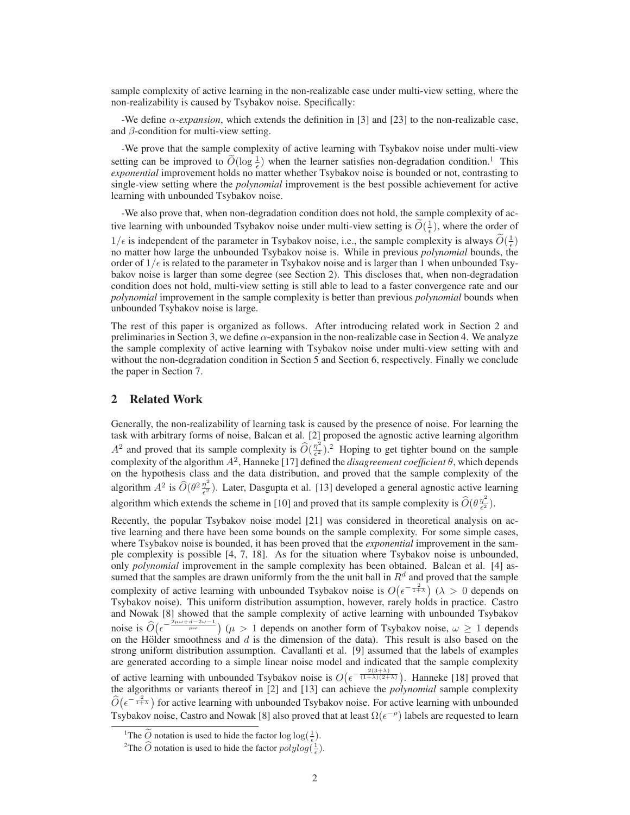sample complexity of active learning in the non-realizable case under multi-view setting, where the non-realizability is caused by Tsybakov noise. Specifically:

-We define  $\alpha$ -expansion, which extends the definition in [3] and [23] to the non-realizable case, and  $\beta$ -condition for multi-view setting.

-We prove that the sample complexity of active learning with Tsybakov noise under multi-view setting can be improved to  $\widetilde{O}(\log \frac{1}{\epsilon})$  when the learner satisfies non-degradation condition.<sup>1</sup> This *exponential* improvement holds no matter whether Tsybakov noise is bounded or not, contrasting to single-view setting where the *polynomial* improvement is the best possible achievement for active learning with unbounded Tsybakov noise.

-We also prove that, when non-degradation condition does not hold, the sample complexity of active learning with unbounded Tsybakov noise under multi-view setting is  $\tilde{O}(\frac{1}{\epsilon})$ , where the order of  $1/\epsilon$  is independent of the parameter in Tsybakov noise, i.e., the sample complexity is always  $\widetilde{O}(\frac{1}{\epsilon})$ no matter how large the unbounded Tsybakov noise is. While in previous *polynomial* bounds, the order of  $1/\epsilon$  is related to the parameter in Tsybakov noise and is larger than 1 when unbounded Tsybakov noise is larger than some degree (see Section 2). This discloses that, when non-degradation condition does not hold, multi-view setting is still able to lead to a faster convergence rate and our *polynomial* improvement in the sample complexity is better than previous *polynomial* bounds when unbounded Tsybakov noise is large.

The rest of this paper is organized as follows. After introducing related work in Section 2 and preliminaries in Section 3, we define  $\alpha$ -expansion in the non-realizable case in Section 4. We analyze the sample complexity of active learning with Tsybakov noise under multi-view setting with and without the non-degradation condition in Section 5 and Section 6, respectively. Finally we conclude the paper in Section 7.

### **2 Related Work**

Generally, the non-realizability of learning task is caused by the presence of noise. For learning the task with arbitrary forms of noise, Balcan et al. [2] proposed the agnostic active learning algorithm  $A^2$  and proved that its sample complexity is  $\widehat{O}\left(\frac{\eta^2}{\epsilon^2}\right)$  $\frac{\eta^2}{\epsilon^2}$ ).<sup>2</sup> Hoping to get tighter bound on the sample complexity of the algorithm  $A^2$ , Hanneke [17] defined the *disagreement coefficient*  $\theta$ , which depends on the hypothesis class and the data distribution, and proved that the sample complexity of the algorithm  $A^2$  is  $\widehat{O}(\theta^2 \frac{\eta^2}{\epsilon^2})$  $\frac{\eta}{\epsilon^2}$ ). Later, Dasgupta et al. [13] developed a general agnostic active learning algorithm which extends the scheme in [10] and proved that its sample complexity is  $\widehat{O}(\theta \frac{\eta^2}{\epsilon^2})$  $\frac{\eta^-}{\epsilon^2}).$ 

Recently, the popular Tsybakov noise model [21] was considered in theoretical analysis on active learning and there have been some bounds on the sample complexity. For some simple cases, where Tsybakov noise is bounded, it has been proved that the *exponential* improvement in the sample complexity is possible [4, 7, 18]. As for the situation where Tsybakov noise is unbounded, only *polynomial* improvement in the sample complexity has been obtained. Balcan et al. [4] assumed that the samples are drawn uniformly from the the unit ball in  $R<sup>d</sup>$  and proved that the sample complexity of active learning with unbounded Tsybakov noise is  $O(\epsilon^{-\frac{2}{1+\lambda}})$  ( $\lambda > 0$  depends on Tsybakov noise). This uniform distribution assumption, however, rarely holds in practice. Castro and Nowak [8] showed that the sample complexity of active learning with unbounded Tsybakov noise is  $\widehat{O}\left(\epsilon^{-\frac{2\mu\omega+d-2\omega-1}{\mu\omega}}\right)$  ( $\mu > 1$  depends on another form of Tsybakov noise,  $\omega \ge 1$  depends on the Hölder smoothness and  $d$  is the dimension of the data). This result is also based on the strong uniform distribution assumption. Cavallanti et al. [9] assumed that the labels of examples are generated according to a simple linear noise model and indicated that the sample complexity of active learning with unbounded Tsybakov noise is  $O(\epsilon^{-\frac{2(3+\lambda)}{(1+\lambda)(2+\lambda)}})$ . Hanneke [18] proved that the algorithms or variants thereof in [2] and [13] can achieve the *polynomial* sample complexity  $\widehat{O}(\epsilon^{-\frac{2}{1+\lambda}})$  for active learning with unbounded Tsybakov noise. For active learning with unbounded Tsybakov noise, Castro and Nowak [8] also proved that at least  $\Omega(\epsilon^{-\rho})$  labels are requested to learn

<sup>&</sup>lt;sup>1</sup>The  $\widetilde{Q}$  notation is used to hide the factor  $\log \log(\frac{1}{\epsilon})$ .

<sup>&</sup>lt;sup>2</sup>The  $\widehat{O}$  notation is used to hide the factor  $polylog(\frac{1}{\epsilon})$ .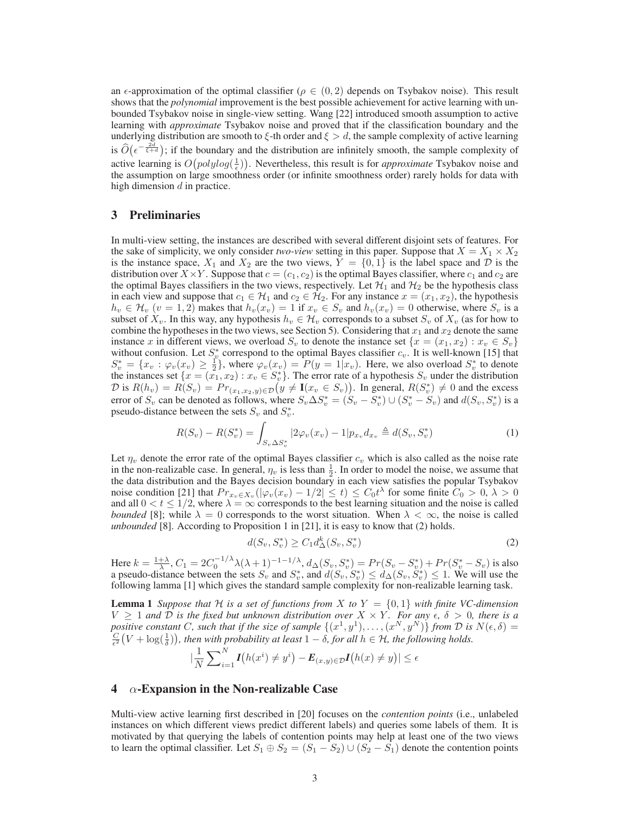an  $\epsilon$ -approximation of the optimal classifier ( $\rho \in (0, 2)$  depends on Tsybakov noise). This result shows that the *polynomial* improvement is the best possible achievement for active learning with unbounded Tsybakov noise in single-view setting. Wang [22] introduced smooth assumption to active learning with *approximate* Tsybakov noise and proved that if the classification boundary and the underlying distribution are smooth to  $\xi$ -th order and  $\xi > d$ , the sample complexity of active learning is  $\widehat{O}(\epsilon^{-\frac{2d}{\xi+d}})$ ; if the boundary and the distribution are infinitely smooth, the sample complexity of active learning is  $O(polylog(\frac{1}{\epsilon}))$ . Nevertheless, this result is for *approximate* Tsybakov noise and the assumption on large smoothness order (or infinite smoothness order) rarely holds for data with high dimension  $d$  in practice.

### **3 Preliminaries**

In multi-view setting, the instances are described with several different disjoint sets of features. For the sake of simplicity, we only consider *two-view* setting in this paper. Suppose that  $X = X_1 \times X_2$ is the instance space,  $X_1$  and  $X_2$  are the two views,  $Y = \{0, 1\}$  is the label space and D is the distribution over  $X \times Y$ . Suppose that  $c = (c_1, c_2)$  is the optimal Bayes classifier, where  $c_1$  and  $c_2$  are the optimal Bayes classifiers in the two views, respectively. Let  $\mathcal{H}_1$  and  $\mathcal{H}_2$  be the hypothesis class in each view and suppose that  $c_1 \in \mathcal{H}_1$  and  $c_2 \in \mathcal{H}_2$ . For any instance  $x = (x_1, x_2)$ , the hypothesis  $h_v \in \mathcal{H}_v$   $(v = 1, 2)$  makes that  $h_v(x_v) = 1$  if  $x_v \in S_v$  and  $h_v(x_v) = 0$  otherwise, where  $S_v$  is a subset of  $X_v$ . In this way, any hypothesis  $h_v \in \mathcal{H}_v$  corresponds to a subset  $S_v$  of  $X_v$  (as for how to combine the hypotheses in the two views, see Section 5). Considering that  $x_1$  and  $x_2$  denote the same instance x in different views, we overload  $S_v$  to denote the instance set  $\{x = (x_1, x_2) : x_v \in S_v\}$ without confusion. Let  $S_v^*$  correspond to the optimal Bayes classifier  $c_v$ . It is well-known [15] that  $S_v^* = \{x_v : \varphi_v(x_v) \geq \frac{1}{2}\}\$ , where  $\varphi_v(x_v) = P(y = 1|x_v)$ . Here, we also overload  $S_v^*$  to denote the instances set  $\{x = (x_1, x_2) : x_v \in S_v^*\}$ . The error rate of a hypothesis  $S_v$  under the distribution  $\mathcal{D}$  is  $R(h_v) = R(S_v) = Pr_{(x_1, x_2, y) \in \mathcal{D}}(y \neq I(x_v \in S_v)).$  In general,  $R(S_v^*) \neq 0$  and the excess error of  $S_v$  can be denoted as follows, where  $S_v \Delta S_v^* = (S_v - S_v^*) \cup (S_v^* - S_v)$  and  $d(S_v, S_v^*)$  is a pseudo-distance between the sets  $S_v$  and  $S_v^*$ .

$$
R(S_v) - R(S_v^*) = \int_{S_v \Delta S_v^*} |2\varphi_v(x_v) - 1| p_{x_v} d_{x_v} \triangleq d(S_v, S_v^*)
$$
\n(1)

Let  $\eta_v$  denote the error rate of the optimal Bayes classifier  $c_v$  which is also called as the noise rate in the non-realizable case. In general,  $\eta_v$  is less than  $\frac{1}{2}$ . In order to model the noise, we assume that the data distribution and the Bayes decision boundary in each view satisfies the popular Tsybakov noise condition [21] that  $Pr_{x_v \in X_v}(|\varphi_v(x_v) - 1/2| \le t) \le C_0 t^{\lambda}$  for some finite  $C_0 > 0, \lambda > 0$ and all  $0 < t \leq 1/2$ , where  $\lambda = \infty$  corresponds to the best learning situation and the noise is called *bounded* [8]; while  $\lambda = 0$  corresponds to the worst situation. When  $\lambda < \infty$ , the noise is called *unbounded* [8]. According to Proposition 1 in [21], it is easy to know that (2) holds.

$$
d(S_v, S_v^*) \ge C_1 d_{\Delta}^k(S_v, S_v^*)
$$
\n(2)

Here  $k = \frac{1+\lambda}{\lambda}$ ,  $C_1 = 2C_0^{-1/\lambda} \lambda (\lambda + 1)^{-1-\lambda}$ ,  $d_{\Delta}(S_v, S_v^*) = Pr(S_v - S_v^*) + Pr(S_v^* - S_v)$  is also a pseudo-distance between the sets  $S_v$  and  $S_v^*$ , and  $d(S_v, S_v^*) \le d_{\Delta}(S_v, S_v^*) \le 1$ . We will use the following lamma [1] which gives the standard sample complexity for non-realizable learning task.

**Lemma 1** *Suppose that*  $H$  *is a set of functions from* X *to*  $Y = \{0, 1\}$  *with finite* VC-dimension  $V \geq 1$  and  $\overline{D}$  *is the fixed but unknown distribution over*  $X \times Y$ *. For any*  $\epsilon$ ,  $\delta > 0$ *, there is a* positive constant C, such that if the size of sample  $\{(x^1,y^1),\ldots,(x^N,y^N)\}$  from D is  $N(\epsilon,\delta)$  =  $\frac{C}{\epsilon^2}(V + \log(\frac{1}{\delta}))$ , then with probability at least  $1 - \delta$ , for all  $h \in H$ , the following holds.

$$
|\frac{1}{N}\sum_{i=1}^{N}I(h(x^{i})\neq y^{i}) - E_{(x,y)\in\mathcal{D}}I(h(x)\neq y)| \leq \epsilon
$$

#### **4** α**-Expansion in the Non-realizable Case**

Multi-view active learning first described in [20] focuses on the *contention points* (i.e., unlabeled instances on which different views predict different labels) and queries some labels of them. It is motivated by that querying the labels of contention points may help at least one of the two views to learn the optimal classifier. Let  $S_1 \oplus S_2 = (S_1 - S_2) \cup (S_2 - S_1)$  denote the contention points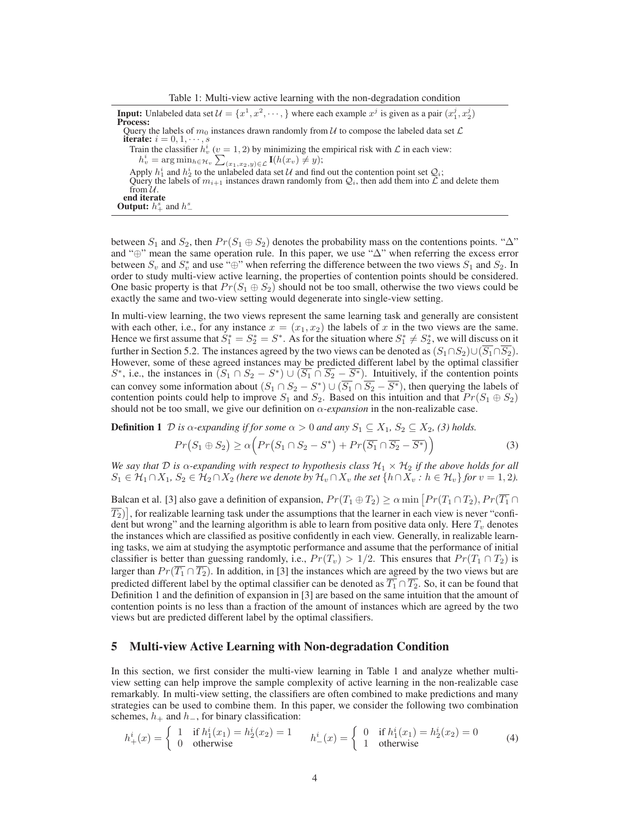Table 1: Multi-view active learning with the non-degradation condition

**Input:** Unlabeled data set  $\mathcal{U} = \{x^1, x^2, \dots, \}$  where each example  $x^j$  is given as a pair  $(x_1^j, x_2^j)$ **Process:** Query the labels of  $m_0$  instances drawn randomly from U to compose the labeled data set  $\mathcal L$ **iterate:**  $i = 0, 1, \dots, s$ Train the classifier  $h_v^i$  ( $v = 1, 2$ ) by minimizing the empirical risk with  $\mathcal L$  in each view:  $h_v^i = \arg\min_{h \in \mathcal{H}_v} \sum_{(x_1,x_2,y) \in \mathcal{L}} \mathbf{I}(h(x_v) \neq y);$ Apply  $h_1^i$  and  $h_2^i$  to the unlabeled data set U and find out the contention point set  $\mathcal{Q}_i$ ; Query the labels of  $m_{i+1}$  instances drawn randomly from  $\mathcal{Q}_i$ , then add them into  $\mathcal{L}$  and delete them from  $\mathcal{U}$ . **end iterate Output:**  $h_+^s$  and  $h_-^s$ 

between  $S_1$  and  $S_2$ , then  $Pr(S_1 \oplus S_2)$  denotes the probability mass on the contentions points. " $\Delta$ " and "⊕" mean the same operation rule. In this paper, we use "∆" when referring the excess error between  $S_v$  and  $S_v^*$  and use "⊕" when referring the difference between the two views  $S_1$  and  $S_2$ . In order to study multi-view active learning, the properties of contention points should be considered. One basic property is that  $Pr(S_1 \oplus S_2)$  should not be too small, otherwise the two views could be exactly the same and two-view setting would degenerate into single-view setting.

In multi-view learning, the two views represent the same learning task and generally are consistent with each other, i.e., for any instance  $x = (x_1, x_2)$  the labels of x in the two views are the same. Hence we first assume that  $\dot{S}_1^* = S_2^* = S^*$ . As for the situation where  $S_1^* \neq S_2^*$ , we will discuss on it further in Section 5.2. The instances agreed by the two views can be denoted as  $(S_1 \cap S_2) \cup (\overline{S_1} \cap \overline{S_2})$ . However, some of these agreed instances may be predicted different label by the optimal classifier  $S^*$ , i.e., the instances in  $(S_1 \cap S_2 - S^*) \cup (\overline{S_1} \cap \overline{S_2} - \overline{S^*})$ . Intuitively, if the contention points can convey some information about  $(S_1 \cap S_2 - S^*) \cup (\overline{S_1} \cap \overline{S_2} - \overline{S^*})$ , then querying the labels of contention points could help to improve  $S_1$  and  $S_2$ . Based on this intuition and that  $Pr(S_1 \oplus S_2)$ should not be too small, we give our definition on  $\alpha$ -expansion in the non-realizable case.

**Definition 1** D *is*  $\alpha$ -expanding if for some  $\alpha > 0$  and any  $S_1 \subseteq X_1$ ,  $S_2 \subseteq X_2$ , (3) holds.

$$
Pr(S_1 \oplus S_2) \ge \alpha \Big( Pr(S_1 \cap S_2 - S^*) + Pr(\overline{S_1} \cap \overline{S_2} - \overline{S^*}) \Big) \tag{3}
$$

*We say that* D *is*  $\alpha$ -expanding with respect to hypothesis class  $\mathcal{H}_1 \times \mathcal{H}_2$  *if the above holds for all*  $S_1 \in \mathcal{H}_1 \cap X_1$ ,  $S_2 \in \mathcal{H}_2 \cap X_2$  (here we denote by  $\mathcal{H}_v \cap X_v$  the set  $\{h \cap X_v : h \in \mathcal{H}_v\}$  for  $v = 1, 2$ ).

Balcan et al. [3] also gave a definition of expansion,  $Pr(T_1 \oplus T_2) \ge \alpha \min\left[Pr(T_1 \cap T_2), Pr(\overline{T_1} \cap T_2)\right]$  $\overline{T_2})$ , for realizable learning task under the assumptions that the learner in each view is never "confident but wrong" and the learning algorithm is able to learn from positive data only. Here  $T_v$  denotes the instances which are classified as positive confidently in each view. Generally, in realizable learning tasks, we aim at studying the asymptotic performance and assume that the performance of initial classifier is better than guessing randomly, i.e.,  $Pr(T_v) > 1/2$ . This ensures that  $Pr(T_1 \cap T_2)$  is larger than  $Pr(\overline{T_1} \cap \overline{T_2})$ . In addition, in [3] the instances which are agreed by the two views but are predicted different label by the optimal classifier can be denoted as  $\overline{T_1} \cap \overline{T_2}$ . So, it can be found that Definition 1 and the definition of expansion in [3] are based on the same intuition that the amount of contention points is no less than a fraction of the amount of instances which are agreed by the two views but are predicted different label by the optimal classifiers.

### **5 Multi-view Active Learning with Non-degradation Condition**

In this section, we first consider the multi-view learning in Table 1 and analyze whether multiview setting can help improve the sample complexity of active learning in the non-realizable case remarkably. In multi-view setting, the classifiers are often combined to make predictions and many strategies can be used to combine them. In this paper, we consider the following two combination schemes,  $h_+$  and  $h_−$ , for binary classification:

$$
h_+^i(x) = \begin{cases} 1 & \text{if } h_1^i(x_1) = h_2^i(x_2) = 1 \\ 0 & \text{otherwise} \end{cases} \qquad h_-^i(x) = \begin{cases} 0 & \text{if } h_1^i(x_1) = h_2^i(x_2) = 0 \\ 1 & \text{otherwise} \end{cases} \tag{4}
$$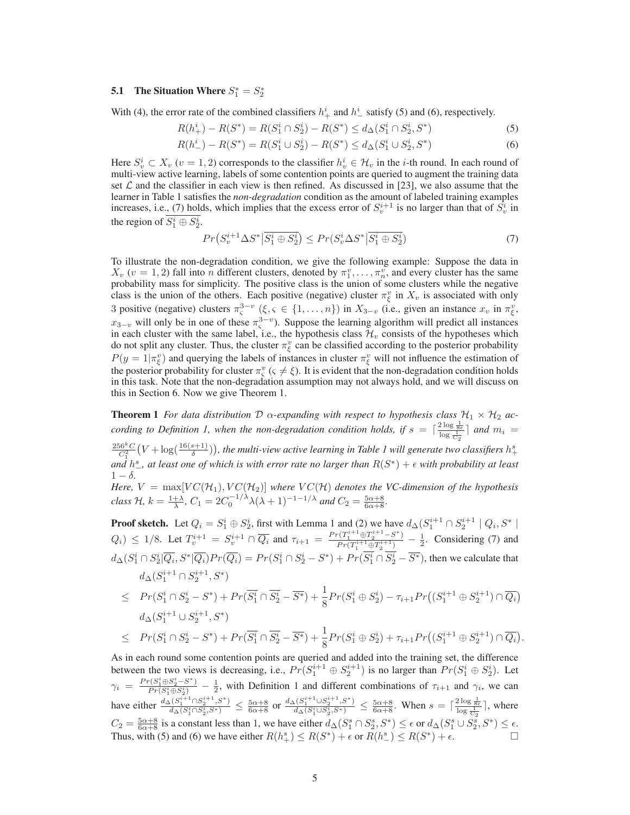## **5.1** The Situation Where  $S_1^* = S_2^*$

With (4), the error rate of the combined classifiers  $h_+^i$  and  $h_-^i$  satisfy (5) and (6), respectively.

$$
R(h_+^i) - R(S^*) = R(S_1^i \cap S_2^i) - R(S^*) \le d_\Delta(S_1^i \cap S_2^i, S^*)
$$
\n<sup>(5)</sup>

$$
R(h_{-}^{i}) - R(S^{*}) = R(S_{1}^{i} \cup S_{2}^{i}) - R(S^{*}) \le d_{\Delta}(S_{1}^{i} \cup S_{2}^{i}, S^{*})
$$
\n
$$
(6)
$$

Here  $S_v^i \subset X_v$   $(v = 1, 2)$  corresponds to the classifier  $h_v^i \in \mathcal{H}_v$  in the *i*-th round. In each round of multi-view active learning, labels of some contention points are queried to augment the training data set  $\mathcal L$  and the classifier in each view is then refined. As discussed in [23], we also assume that the learner in Table 1 satisfies the *non-degradation* condition as the amount of labeled training examples increases, i.e., (7) holds, which implies that the excess error of  $S_v^{i+1}$  is no larger than that of  $S_v^i$  in the region of  $S_1^i \oplus S_2^i$ .

$$
Pr(S_v^{i+1} \Delta S^* | \overline{S_1^i \oplus S_2^i}) \le Pr(S_v^i \Delta S^* | \overline{S_1^i \oplus S_2^i})
$$
\n<sup>(7)</sup>

To illustrate the non-degradation condition, we give the following example: Suppose the data in  $X_v$  ( $v = 1, 2$ ) fall into *n* different clusters, denoted by  $\pi_1^v, \ldots, \pi_n^v$ , and every cluster has the same probability mass for simplicity. The positive class is the union of some clusters while the negative class is the union of the others. Each positive (negative) cluster  $\pi_{\xi}^{v}$  in  $X_{v}$  is associated with only 3 positive (negative) clusters  $\pi_{\varsigma}^{3-v}$  ( $\xi, \varsigma \in \{1, \ldots, n\}$ ) in  $X_{3-v}$  (i.e., given an instance  $x_v$  in  $\pi_{\xi}^v$ ,  $x_{3-v}$  will only be in one of these  $\pi_{\varsigma}^{3-v}$ ). Suppose the learning algorithm will predict all instances in each cluster with the same label, i.e., the hypothesis class  $\mathcal{H}_v$  consists of the hypotheses which do not split any cluster. Thus, the cluster  $\pi_{\xi}^{v}$  can be classified according to the posterior probability  $P(y = 1 | \pi_{\xi}^{v})$  and querying the labels of instances in cluster  $\pi_{\xi}^{v}$  will not influence the estimation of the posterior probability for cluster  $\pi_{\varsigma}^v$  ( $\varsigma \neq \xi$ ). It is evident that the non-degradation condition holds in this task. Note that the non-degradation assumption may not always hold, and we will discuss on this in Section 6. Now we give Theorem 1.

**Theorem 1** *For data distribution*  $D$   $\alpha$ -expanding with respect to hypothesis class  $\mathcal{H}_1 \times \mathcal{H}_2$  ac*cording to Definition 1, when the non-degradation condition holds, if*  $s = \lceil \frac{2 \log \frac{1}{8\epsilon}}{\log \frac{1}{60}} \rceil$  and  $m_i =$ 

 $\frac{256^{k}C}{C_{1}^{2}}(V + \log(\frac{16(s+1)}{\delta}))$ , the multi-view active learning in Table 1 will generate two classifiers  $h^{s}_{+}$ and  $h^s$ , at least one of which is with error rate no larger than  $R(S^*) + \epsilon$  with probability at least  $1 - \delta$ .

*Here,*  $V = \max[VC(\mathcal{H}_1), VC(\mathcal{H}_2)]$  where  $VC(\mathcal{H})$  denotes the VC-dimension of the hypothesis *class*  $\mathcal{H}$ *,*  $k = \frac{1+\lambda}{\lambda}$ *,*  $C_1 = 2C_0^{-1/\lambda} \lambda (\lambda + 1)^{-1-1/\lambda}$  *and*  $C_2 = \frac{5\alpha+8}{6\alpha+8}$ *.* 

**Proof sketch.** Let  $Q_i = S_1^i \oplus S_2^i$ , first with Lemma 1 and (2) we have  $d_{\Delta}(S_1^{i+1} \cap S_2^{i+1} \mid Q_i, S^* \mid S_2^i)$  $Q_i$ )  $\leq 1/8$ . Let  $T_v^{i+1} = S_v^{i+1} \cap \overline{Q_i}$  and  $\tau_{i+1} = \frac{Pr(T_1^{i+1} \oplus T_2^{i+1} - S^*)}{Pr(T_i^{i+1} \oplus T_i^{i+1})}$  $\frac{P(T_1^{(1)} + \oplus T_2^{(1)} - S^*)}{P(T_1^{i+1} \oplus T_2^{i+1})} - \frac{1}{2}$ . Considering (7) and  $d_{\Delta}(S_1^i \cap S_2^i | \overline{Q_i}, S^* | \overline{Q_i}) Pr(\overline{Q_i}) = Pr(S_1^i \cap S_2^i - S^*) + Pr(\overline{S_1^i} \cap \overline{S_2^i} - \overline{S^*})$ , then we calculate that  $d_{\Delta}(S_1^{i+1} \cap S_2^{i+1}, S^*)$ 

$$
\leq \quad Pr(S_1^i \cap S_2^i - S^*) + Pr(\overline{S_1^i} \cap \overline{S_2^i} - \overline{S^*}) + \frac{1}{8}Pr(S_1^i \oplus S_2^i) - \tau_{i+1}Pr((S_1^{i+1} \oplus S_2^{i+1}) \cap \overline{Q_i})
$$
  

$$
d_{\Delta}(S_1^{i+1} \cup S_2^{i+1}, S^*)
$$

$$
\leq \quad Pr(S_1^i \cap S_2^i - S^*) + Pr(\overline{S_1^i} \cap \overline{S_2^i} - \overline{S^*}) + \frac{1}{8}Pr(S_1^i \oplus S_2^i) + \tau_{i+1}Pr((S_1^{i+1} \oplus S_2^{i+1}) \cap \overline{Q_i})
$$

.

As in each round some contention points are queried and added into the training set, the difference between the two views is decreasing, i.e.,  $Pr(S_1^{i+1} \oplus S_2^{i+1})$  is no larger than  $Pr(S_1^i \oplus S_2^i)$ . Let  $\gamma_i = \frac{Pr(S_1^i \oplus S_2^i - S^*)}{Pr(S_1^i \oplus S_2^i)} - \frac{1}{2}$ , with Definition 1 and different combinations of  $\tau_{i+1}$  and  $\gamma_i$ , we can have either  $\frac{d_{\Delta}(S_1^{i+1} \cap S_2^{i+1}, S^*)}{d_{\Delta}(S_i^i \cap S_i^i \cap S^*)}$  $\frac{d_{\Delta}(S_1^{i+1} \cap S_2^{i+1}, S^*)}{d_{\Delta}(S_1^{i} \cap S_2^{i}, S^*)} \leq \frac{5\alpha + 8}{6\alpha + 8}$  or  $\frac{d_{\Delta}(S_1^{i+1} \cup S_2^{i+1}, S^*)}{d_{\Delta}(S_1^{i} \cup S_2^{i}, S^*)}$  $\frac{(S_1^{i+1} \cup S_2^{i+1}, S^*)}{d_{\Delta}(S_1^i \cup S_2^i, S^*)} \leq \frac{5\alpha+8}{6\alpha+8}$ . When  $s = \lceil \frac{2\log\frac{1}{8\epsilon}}{\log\frac{1}{C_2}} \rceil$ , where  $C_2 = \frac{5\alpha+8}{6\alpha+8}$  is a constant less than 1, we have either  $d_{\Delta}(S_1^s \cap S_2^s, S^*) \leq \epsilon$  or  $d_{\Delta}(S_1^s \cup S_2^s, S^*) \leq \epsilon$ . Thus, with (5) and (6) we have either  $R(h_+^s) \le R(S^*) + \epsilon$  or  $R(h_-^s) \le R(S^*)$ ) +  $\epsilon$ .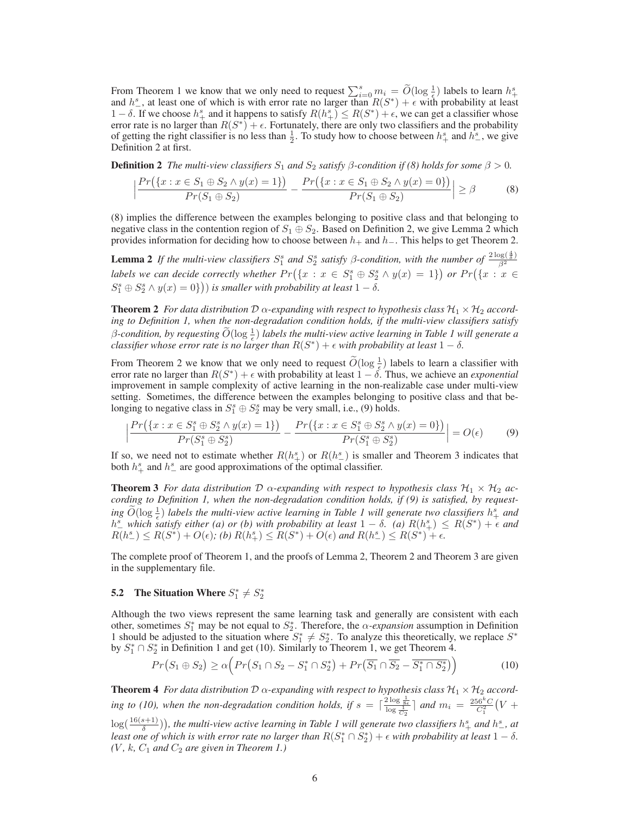From Theorem 1 we know that we only need to request  $\sum_{i=0}^{s} m_i = \widetilde{O}(\log \frac{1}{\epsilon})$  labels to learn  $h_+^s$  and  $h_-^s$ , at least one of which is with error rate no larger than  $R(S^*) + \epsilon$  with probability at least 1 – δ. If we choose  $h_+^s$  and it happens to satisfy  $R(h_+^s) \leq R(S^*) + \epsilon$ , we can get a classifier whose error rate is no larger than  $R(S^*) + \epsilon$ . Fortunately, there are only two classifiers and the probability of getting the right classifier is no less than  $\frac{1}{2}$ . To study how to choose between  $h^s_+$  and  $h^s_-$ , we give Definition 2 at first.

**Definition 2** *The multi-view classifiers*  $S_1$  *and*  $S_2$  *satisfy*  $\beta$ -condition if (8) holds for some  $\beta > 0$ .

$$
\left| \frac{Pr(\{x : x \in S_1 \oplus S_2 \land y(x) = 1\})}{Pr(S_1 \oplus S_2)} - \frac{Pr(\{x : x \in S_1 \oplus S_2 \land y(x) = 0\})}{Pr(S_1 \oplus S_2)} \right| \ge \beta
$$
(8)

(8) implies the difference between the examples belonging to positive class and that belonging to negative class in the contention region of  $S_1 \oplus S_2$ . Based on Definition 2, we give Lemma 2 which provides information for deciding how to choose between  $h_+$  and  $h_-.$  This helps to get Theorem 2.

**Lemma 2** If the multi-view classifiers  $S_1^s$  and  $S_2^s$  satisfy  $\beta$ -condition, with the number of  $\frac{2\log(\frac{4}{\delta})}{\beta^2}$  $\overline{\beta^2}$ *labels we can decide correctly whether*  $Pr(\{x : x \in S_1^s \oplus S_2^s \wedge y(x) = 1\})$  or  $Pr(\{x : x \in S_1^s \oplus S_2^s \wedge y(x) = 1\})$  $S_1^s \oplus S_2^s \wedge y(x) = 0$ ) *is smaller with probability at least*  $1 - \delta$ .

**Theorem 2** *For data distribution*  $\mathcal{D}$   $\alpha$ -expanding with respect to hypothesis class  $\mathcal{H}_1 \times \mathcal{H}_2$  *according to Definition 1, when the non-degradation condition holds, if the multi-view classifiers satisfy*  $\beta$ -condition, by requesting  $\widetilde{O}(\log \frac{1}{\epsilon})$  labels the multi-view active learning in Table 1 will generate a *classifier whose error rate is no larger than*  $R(S^*) + \epsilon$  *with probability at least*  $1 - \delta$ *.* 

From Theorem 2 we know that we only need to request  $\widetilde{O}(\log \frac{1}{\epsilon})$  labels to learn a classifier with error rate no larger than  $R(S^*) + \epsilon$  with probability at least  $1 - \delta$ . Thus, we achieve an *exponential* improvement in sample complexity of active learning in the non-realizable case under multi-view setting. Sometimes, the difference between the examples belonging to positive class and that belonging to negative class in  $S_1^s \oplus S_2^s$  may be very small, i.e., (9) holds.

$$
\frac{Pr(\{x : x \in S_1^s \oplus S_2^s \land y(x) = 1\})}{Pr(S_1^s \oplus S_2^s)} - \frac{Pr(\{x : x \in S_1^s \oplus S_2^s \land y(x) = 0\})}{Pr(S_1^s \oplus S_2^s)} = O(\epsilon) \tag{9}
$$

If so, we need not to estimate whether  $R(h_+^s)$  or  $R(h_-^s)$  is smaller and Theorem 3 indicates that both  $h_+^s$  and  $h_-^s$  are good approximations of the optimal classifier.

**Theorem 3** For data distribution  $\mathcal{D}$   $\alpha$ -expanding with respect to hypothesis class  $\mathcal{H}_1 \times \mathcal{H}_2$  ac*cording to Definition 1, when the non-degradation condition holds, if (9) is satisfied, by request-* $\tilde{O}(\log \frac{1}{\epsilon})$  *labels the multi-view active learning in Table 1 will generate two classifiers*  $h^s_+$  *and*  $h_{-}^{s}$  which satisfy either (a) or (b) with probability at least  $1 - \delta$ . (a)  $R(h_{+}^{s}) \le R(S^{*}) + \epsilon$  and  $R(h_{-}^{s}) \leq R(S^{*}) + O(\epsilon)$ ; (b)  $R(h_{+}^{s}) \leq R(S^{*}) + O(\epsilon)$  and  $R(h_{-}^{s}) \leq R(S^{*}) + \epsilon$ .

The complete proof of Theorem 1, and the proofs of Lemma 2, Theorem 2 and Theorem 3 are given in the supplementary file.

## **5.2** The Situation Where  $S_1^* \neq S_2^*$

 $\overline{\phantom{a}}$  $\overline{\phantom{a}}$  $\overline{\phantom{a}}$ 

Although the two views represent the same learning task and generally are consistent with each other, sometimes  $S_1^*$  may be not equal to  $S_2^*$ . Therefore, the  $\alpha$ -expansion assumption in Definition 1 should be adjusted to the situation where  $S_1^* \neq S_2^*$ . To analyze this theoretically, we replace  $S^*$ by  $S_1^* \cap S_2^*$  in Definition 1 and get (10). Similarly to Theorem 1, we get Theorem 4.

$$
Pr(S_1 \oplus S_2) \ge \alpha \Big( Pr(S_1 \cap S_2 - S_1^* \cap S_2^*) + Pr(\overline{S_1} \cap \overline{S_2} - \overline{S_1^* \cap S_2^*}) \Big) \tag{10}
$$

**Theorem 4** *For data distribution*  $\mathcal{D}$   $\alpha$ -expanding with respect to hypothesis class  $\mathcal{H}_1 \times \mathcal{H}_2$  accord*ing to (10), when the non-degradation condition holds, if*  $s = \lceil \frac{2 \log \frac{1}{8\epsilon}}{\log \frac{1}{C_2}} \rceil$  *and*  $m_i = \frac{256^k C}{C_1^2} (V +$ 

 $\log(\frac{16(s+1)}{\delta})$ ), the multi-view active learning in Table 1 will generate two classifiers  $h^s_+$  and  $h^s_-$ , at *least one of which is with error rate no larger than*  $R(S_1^* \cap S_2^*) + \epsilon$  *with probability at least*  $1 - \delta$ *.*  $(V, k, C_1$  *and*  $C_2$  *are given in Theorem 1.)*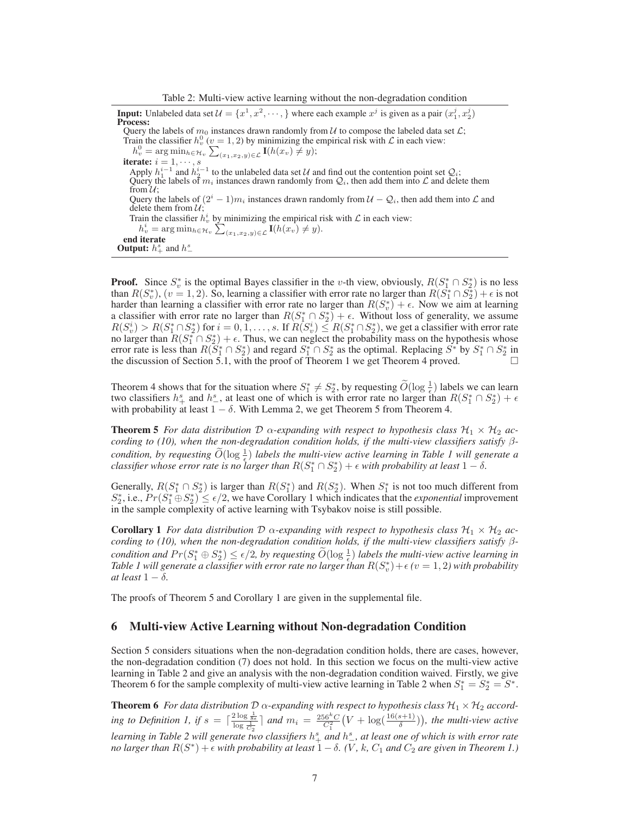Table 2: Multi-view active learning without the non-degradation condition

**Input:** Unlabeled data set  $\mathcal{U} = \{x^1, x^2, \dots, \}$  where each example  $x^j$  is given as a pair  $(x_1^j, x_2^j)$ **Process:** Query the labels of  $m_0$  instances drawn randomly from  $\mathcal U$  to compose the labeled data set  $\mathcal L$ ; Train the classifier  $h_v^0$  ( $v = 1, 2$ ) by minimizing the empirical risk with  $\mathcal L$  in each view:  $h_v^0 = \arg \min_{h \in \mathcal{H}_v} \sum_{(x_1, x_2, y) \in \mathcal{L}} \mathbf{I}(h(x_v) \neq y);$ **iterate:**  $i = 1, \dots, s$ Apply  $h_1^{i-1}$  and  $h_2^{i-1}$  to the unlabeled data set U and find out the contention point set  $\mathcal{Q}_i$ ; Query the labels of  $m_i$  instances drawn randomly from  $Q_i$ , then add them into  $\mathcal L$  and delete them from  $\mathcal{U}$ ; Query the labels of  $(2^i - 1)m_i$  instances drawn randomly from  $\mathcal{U} - \mathcal{Q}_i$ , then add them into  $\mathcal{L}$  and delete them from  $U$ ; Train the classifier  $h_v^i$  by minimizing the empirical risk with  $\mathcal L$  in each view:  $h_v^i = \arg \min_{h \in \mathcal{H}_v} \sum_{(x_1, x_2, y) \in \mathcal{L}} \mathbf{I}(h(x_v) \neq y).$ **end iterate Output:**  $h_+^s$  and  $h_-^s$ 

**Proof.** Since  $S_v^*$  is the optimal Bayes classifier in the v-th view, obviously,  $R(S_1^* \cap S_2^*)$  is no less than  $R(S_v^*), (v = 1, 2)$ . So, learning a classifier with error rate no larger than  $R(S_1^* \cap S_2^*) + \epsilon$  is not harder than learning a classifier with error rate no larger than  $R(S_v^*) + \epsilon$ . Now we aim at learning a classifier with error rate no larger than  $R(S_1^* \cap S_2^*) + \epsilon$ . Without loss of generality, we assume  $R(S_v^i) > R(S_1^* \cap S_2^*)$  for  $i = 0, 1, ..., s$ . If  $R(S_v^i) \leq R(S_1^* \cap S_2^*)$ , we get a classifier with error rate no larger than  $R(S_1^* \cap S_2^*) + \epsilon$ . Thus, we can neglect the probability mass on the hypothesis whose error rate is less than  $R(S_1^* \cap S_2^*)$  and regard  $S_1^* \cap S_2^*$  as the optimal. Replacing  $S^*$  by  $S_1^* \cap S_2^*$  in the discussion of Section 5.1, with the proof of Theorem 1 we get Theorem 4 proved.

Theorem 4 shows that for the situation where  $S_1^* \neq S_2^*$ , by requesting  $\widetilde{O}(\log \frac{1}{\epsilon})$  labels we can learn two classifiers  $h_+^s$  and  $h_-^s$ , at least one of which is with error rate no larger than  $R(S_1^* \cap S_2^*) + \epsilon$ with probability at least  $1 - \delta$ . With Lemma 2, we get Theorem 5 from Theorem 4.

**Theorem 5** *For data distribution*  $\mathcal{D}$   $\alpha$ -expanding with respect to hypothesis class  $\mathcal{H}_1 \times \mathcal{H}_2$  ac*cording to (10), when the non-degradation condition holds, if the multi-view classifiers satisfy* β*condition, by requesting*  $\widetilde{O}(\log \frac{1}{\epsilon})$  *labels the multi-view active learning in Table 1 will generate a classifier whose error rate is no larger than*  $R(S_1^* \cap S_2^*) + \epsilon$  *with probability at least*  $1 - \delta$ *.* 

Generally,  $R(S_1^* \cap S_2^*)$  is larger than  $R(S_1^*)$  and  $R(S_2^*)$ . When  $S_1^*$  is not too much different from  $S_2^*$ , i.e.,  $Pr(S_1^* \oplus S_2^*)^2 \leq \epsilon/2$ , we have Corollary 1 which indicates that the *exponential* improvement in the sample complexity of active learning with Tsybakov noise is still possible.

**Corollary 1** *For data distribution*  $\mathcal{D}$   $\alpha$ -expanding with respect to hypothesis class  $\mathcal{H}_1 \times \mathcal{H}_2$  *according to (10), when the non-degradation condition holds, if the multi-view classifiers satisfy* β*condition and*  $Pr(S_1^* \oplus S_2^*) \le \epsilon/2$ , by requesting  $\widetilde{O}(\log \frac{1}{\epsilon})$  *labels the multi-view active learning in* Table 1 will generate a classifier with error rate no larger than  $R(S_v^*)+\epsilon$  ( $v=1,2$ ) with probability *at least*  $1 - \delta$ *.* 

The proofs of Theorem 5 and Corollary 1 are given in the supplemental file.

### **6 Multi-view Active Learning without Non-degradation Condition**

Section 5 considers situations when the non-degradation condition holds, there are cases, however, the non-degradation condition (7) does not hold. In this section we focus on the multi-view active learning in Table 2 and give an analysis with the non-degradation condition waived. Firstly, we give Theorem 6 for the sample complexity of multi-view active learning in Table 2 when  $S_1^* = S_2^* = S^*$ .

**Theorem 6** For data distribution  $\mathcal{D}$   $\alpha$ -expanding with respect to hypothesis class  $\mathcal{H}_1 \times \mathcal{H}_2$  accord*ing to Definition 1, if*  $s = \lceil \frac{2 \log \frac{1}{8\epsilon}}{\log \frac{1}{C_2}} \rceil$  and  $m_i = \frac{256^k C}{C_1^2} (V + \log(\frac{16(s+1)}{\delta}))$ , the multi-view active *learning in Table 2 will generate two classifiers*  $h$ <sup>s</sup><sub>+</sub> and  $h$ <sup>s</sup><sub>−</sub>, at least one of which is with error rate *no larger than*  $R(S^*) + \epsilon$  *with probability at least*  $1 - \delta$ . (V, k, C<sub>1</sub> and C<sub>2</sub> are given in Theorem 1.)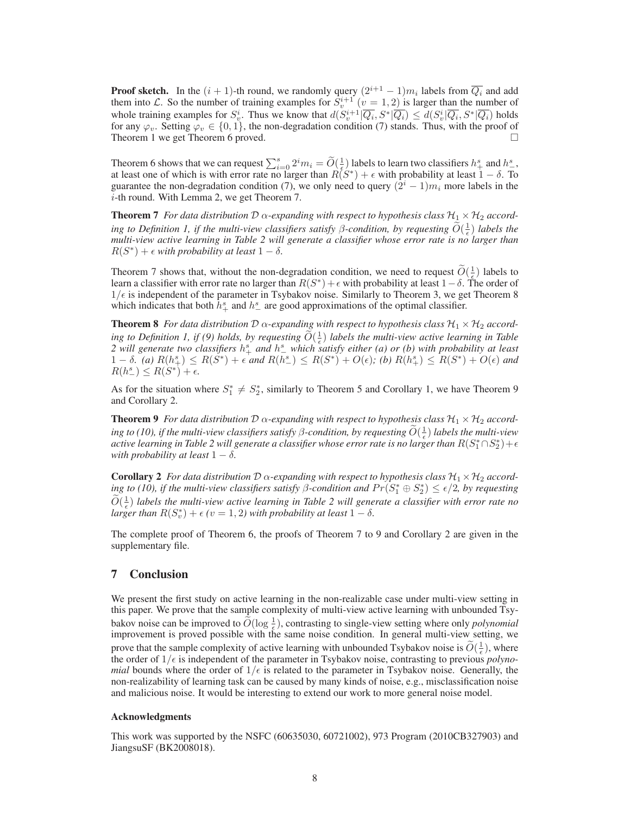**Proof sketch.** In the  $(i + 1)$ -th round, we randomly query  $(2^{i+1} - 1)m_i$  labels from  $\overline{Q_i}$  and add them into L. So the number of training examples for  $S_v^{i+1}$   $(v = 1, 2)$  is larger than the number of whole training examples for  $S_v^i$ . Thus we know that  $d(S_v^{i+1}|\overline{Q_i}, S^*|\overline{Q_i}) \leq d(S_v^i|\overline{Q_i}, S^*|\overline{Q_i})$  holds for any  $\varphi_v$ . Setting  $\varphi_v \in \{0, 1\}$ , the non-degradation condition (7) stands. Thus, with the proof of Theorem 1 we get Theorem 6 proved.

Theorem 6 shows that we can request  $\sum_{i=0}^{s} 2^{i} m_i = \widetilde{O}(\frac{1}{\epsilon})$  labels to learn two classifiers  $h_+^s$  and  $h_-^s$ . at least one of which is with error rate no larger than  $R(S^*) + \epsilon$  with probability at least  $1 - \delta$ . To guarantee the non-degradation condition (7), we only need to query  $(2^{i} - 1)m_i$  more labels in the i-th round. With Lemma 2, we get Theorem 7.

**Theorem 7** *For data distribution*  $\mathcal{D}$   $\alpha$ -expanding with respect to hypothesis class  $\mathcal{H}_1 \times \mathcal{H}_2$  accord*ing to Definition 1, if the multi-view classifiers satisfy*  $\beta$ -condition, by requesting  $\widetilde{O}(\frac{1}{\epsilon})$  labels the *multi-view active learning in Table 2 will generate a classifier whose error rate is no larger than*  $R(S^*) + \epsilon$  *with probability at least*  $1 - \delta$ *.* 

Theorem 7 shows that, without the non-degradation condition, we need to request  $\widetilde{O}(\frac{1}{\epsilon})$  labels to learn a classifier with error rate no larger than  $R(S^*) + \epsilon$  with probability at least  $1 - \delta$ . The order of  $1/\epsilon$  is independent of the parameter in Tsybakov noise. Similarly to Theorem 3, we get Theorem 8 which indicates that both  $\bar{h}^s_+$  and  $h^s_-$  are good approximations of the optimal classifier.

**Theorem 8** *For data distribution*  $\mathcal{D}$   $\alpha$ -expanding with respect to hypothesis class  $\mathcal{H}_1 \times \mathcal{H}_2$  according to Definition 1, if (9) holds, by requesting  $\widetilde{O}(\frac{1}{\epsilon})$  labels the multi-view active learning in Table *2* will generate two classifiers  $h^s_+$  and  $h^s_-$  which satisfy either (a) or (b) with probability at least  $1 - \delta$ , (a)  $R(h_{+}^{s}) \leq R(S^{*}) + \epsilon$  and  $R(h_{-}^{s}) \leq R(S^{*}) + O(\epsilon)$ ; (b)  $R(h_{+}^{s}) \leq R(S^{*}) + O(\epsilon)$  and  $R(h_{-}^{s}) \leq R(S^{*}) + \epsilon.$ 

As for the situation where  $S_1^* \neq S_2^*$ , similarly to Theorem 5 and Corollary 1, we have Theorem 9 and Corollary 2.

**Theorem 9** *For data distribution*  $\mathcal{D}$   $\alpha$ -expanding with respect to hypothesis class  $\mathcal{H}_1 \times \mathcal{H}_2$  accord*ing to (10), if the multi-view classifiers satisfy*  $\beta$ -condition, by requesting  $\widetilde{O}(\frac{1}{\epsilon})$  labels the multi-view active learning in Table 2 will generate a classifier whose error rate is no larger than  $R(S_1^*\cap S_2^*)+\epsilon$ *with probability at least*  $1 - \delta$ *.* 

**Corollary 2** *For data distribution*  $\mathcal{D}$   $\alpha$ -expanding with respect to hypothesis class  $\mathcal{H}_1 \times \mathcal{H}_2$  *according to (10), if the multi-view classifiers satisfy*  $\beta$ *-condition and*  $Pr(S_1^* \oplus S_2^*) \leq \epsilon/2$ , by requesting  $\widetilde{O}(\frac{1}{\epsilon})$  labels the multi-view active learning in Table 2 will generate a classifier with error rate no *larger than*  $R(S_v^*) + \epsilon (v = 1, 2)$  with probability at least  $1 - \delta$ *.* 

The complete proof of Theorem 6, the proofs of Theorem 7 to 9 and Corollary 2 are given in the supplementary file.

### **7 Conclusion**

We present the first study on active learning in the non-realizable case under multi-view setting in this paper. We prove that the sample complexity of multi-view active learning with unbounded Tsybakov noise can be improved to  $\widetilde{O}(\log \frac{1}{\epsilon})$ , contrasting to single-view setting where only *polynomial* improvement is proved possible with the same noise condition. In general multi-view setting, we prove that the sample complexity of active learning with unbounded Tsybakov noise is  $\tilde{O}(\frac{1}{\epsilon})$ , where the order of  $1/\epsilon$  is independent of the parameter in Tsybakov noise, contrasting to previous *polynomial* bounds where the order of  $1/\epsilon$  is related to the parameter in Tsybakov noise. Generally, the non-realizability of learning task can be caused by many kinds of noise, e.g., misclassification noise and malicious noise. It would be interesting to extend our work to more general noise model.

#### **Acknowledgments**

This work was supported by the NSFC (60635030, 60721002), 973 Program (2010CB327903) and JiangsuSF (BK2008018).